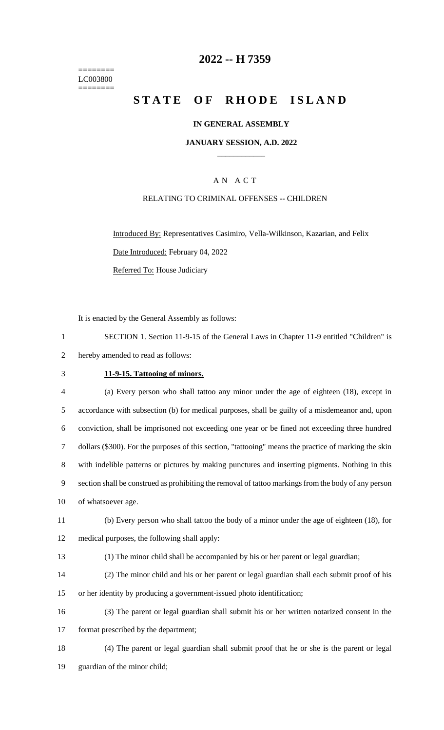======== LC003800 ========

### **-- H 7359**

## **STATE OF RHODE ISLAND**

#### **IN GENERAL ASSEMBLY**

#### **JANUARY SESSION, A.D. 2022 \_\_\_\_\_\_\_\_\_\_\_\_**

#### A N A C T

#### RELATING TO CRIMINAL OFFENSES -- CHILDREN

Introduced By: Representatives Casimiro, Vella-Wilkinson, Kazarian, and Felix Date Introduced: February 04, 2022 Referred To: House Judiciary

It is enacted by the General Assembly as follows:

| SECTION 1. Section 11-9-15 of the General Laws in Chapter 11-9 entitled "Children" is |  |
|---------------------------------------------------------------------------------------|--|
| hereby amended to read as follows:                                                    |  |

#### **11-9-15. Tattooing of minors.**

| 4  | (a) Every person who shall tattoo any minor under the age of eighteen (18), except in                 |
|----|-------------------------------------------------------------------------------------------------------|
| 5  | accordance with subsection (b) for medical purposes, shall be guilty of a misdemeanor and, upon       |
| 6  | conviction, shall be imprisoned not exceeding one year or be fined not exceeding three hundred        |
|    | dollars (\$300). For the purposes of this section, "tattooing" means the practice of marking the skin |
| 8  | with indelible patterns or pictures by making punctures and inserting pigments. Nothing in this       |
| 9  | section shall be construed as prohibiting the removal of tattoo markings from the body of any person  |
| 10 | of whatsoever age.                                                                                    |

# (b) Every person who shall tattoo the body of a minor under the age of eighteen (18), for medical purposes, the following shall apply:

(1) The minor child shall be accompanied by his or her parent or legal guardian;

(2) The minor child and his or her parent or legal guardian shall each submit proof of his

or her identity by producing a government-issued photo identification;

 (3) The parent or legal guardian shall submit his or her written notarized consent in the format prescribed by the department;

 (4) The parent or legal guardian shall submit proof that he or she is the parent or legal guardian of the minor child;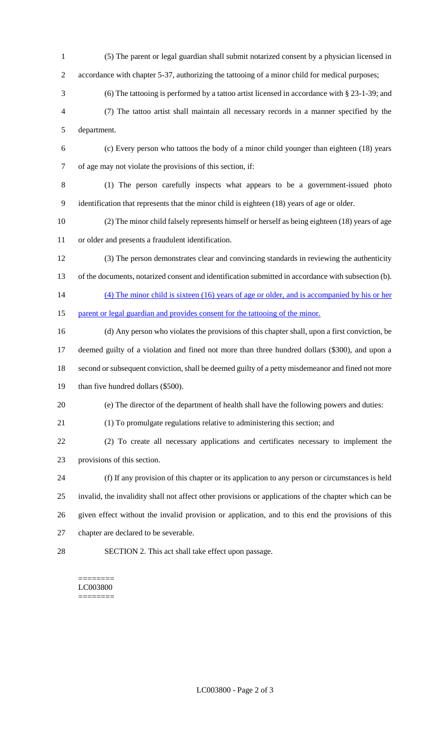- (5) The parent or legal guardian shall submit notarized consent by a physician licensed in 2 accordance with chapter 5-37, authorizing the tattooing of a minor child for medical purposes;
- (6) The tattooing is performed by a tattoo artist licensed in accordance with § 23-1-39; and (7) The tattoo artist shall maintain all necessary records in a manner specified by the department.
- (c) Every person who tattoos the body of a minor child younger than eighteen (18) years of age may not violate the provisions of this section, if:
- (1) The person carefully inspects what appears to be a government-issued photo identification that represents that the minor child is eighteen (18) years of age or older.
- (2) The minor child falsely represents himself or herself as being eighteen (18) years of age or older and presents a fraudulent identification.
- (3) The person demonstrates clear and convincing standards in reviewing the authenticity of the documents, notarized consent and identification submitted in accordance with subsection (b).
- (4) The minor child is sixteen (16) years of age or older, and is accompanied by his or her
- 15 parent or legal guardian and provides consent for the tattooing of the minor.
- (d) Any person who violates the provisions of this chapter shall, upon a first conviction, be deemed guilty of a violation and fined not more than three hundred dollars (\$300), and upon a second or subsequent conviction, shall be deemed guilty of a petty misdemeanor and fined not more 19 than five hundred dollars (\$500).
- (e) The director of the department of health shall have the following powers and duties:
- (1) To promulgate regulations relative to administering this section; and
- (2) To create all necessary applications and certificates necessary to implement the provisions of this section.
- (f) If any provision of this chapter or its application to any person or circumstances is held invalid, the invalidity shall not affect other provisions or applications of the chapter which can be given effect without the invalid provision or application, and to this end the provisions of this chapter are declared to be severable.
- SECTION 2. This act shall take effect upon passage.

======== LC003800 ========